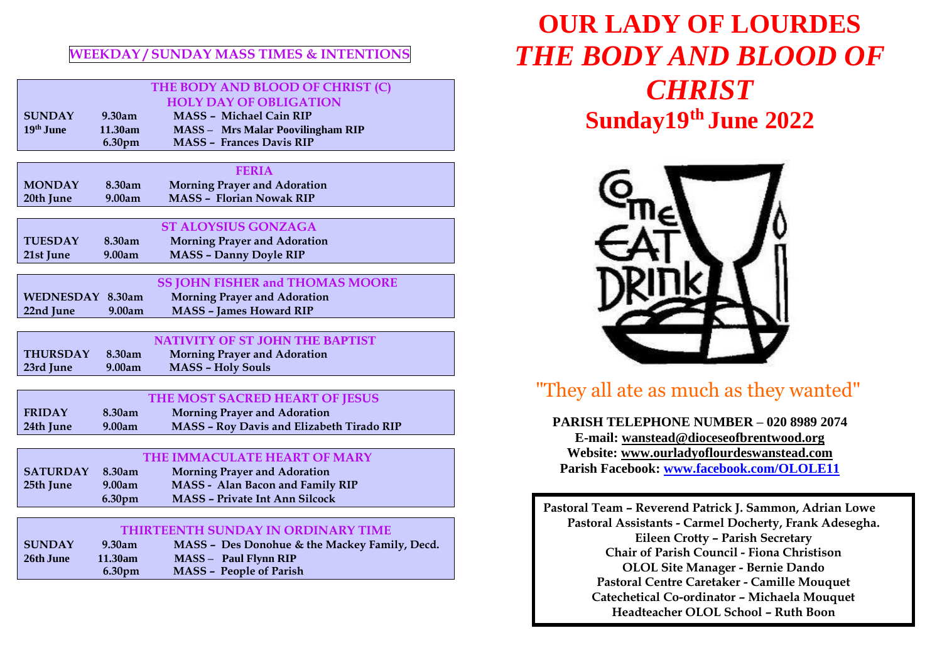### **WEEKDAY / SUNDAY MASS TIMES & INTENTIONS**

|                                           |         | THE BODY AND BLOOD OF CHRIST (C)          |  |  |
|-------------------------------------------|---------|-------------------------------------------|--|--|
|                                           |         | <b>HOLY DAY OF OBLIGATION</b>             |  |  |
| <b>SUNDAY</b>                             | 9.30am  | <b>MASS - Michael Cain RIP</b>            |  |  |
| 19th June                                 | 11.30am | <b>MASS - Mrs Malar Poovilingham RIP</b>  |  |  |
|                                           | 6.30pm  | <b>MASS - Frances Davis RIP</b>           |  |  |
|                                           |         |                                           |  |  |
|                                           |         | <b>FERIA</b>                              |  |  |
| <b>MONDAY</b>                             | 8.30am  | <b>Morning Prayer and Adoration</b>       |  |  |
| 20th June                                 | 9.00am  | <b>MASS - Florian Nowak RIP</b>           |  |  |
|                                           |         |                                           |  |  |
|                                           |         | <b>ST ALOYSIUS GONZAGA</b>                |  |  |
| <b>TUESDAY</b>                            | 8.30am  | <b>Morning Prayer and Adoration</b>       |  |  |
| 21st June                                 | 9.00am  | <b>MASS - Danny Doyle RIP</b>             |  |  |
|                                           |         |                                           |  |  |
|                                           |         | <b>SS JOHN FISHER and THOMAS MOORE</b>    |  |  |
| WEDNESDAY 8.30am                          |         | <b>Morning Prayer and Adoration</b>       |  |  |
| 22nd June                                 | 9.00am  | <b>MASS - James Howard RIP</b>            |  |  |
|                                           |         |                                           |  |  |
|                                           |         | <b>NATIVITY OF ST JOHN THE BAPTIST</b>    |  |  |
| <b>THURSDAY</b>                           | 8.30am  | <b>Morning Prayer and Adoration</b>       |  |  |
| 23rd June                                 | 9.00am  | <b>MASS - Holy Souls</b>                  |  |  |
|                                           |         |                                           |  |  |
| THE MOST SACRED HEART OF JESUS            |         |                                           |  |  |
| <b>FRIDAY</b>                             | 8.30am  | <b>Morning Prayer and Adoration</b>       |  |  |
| 24th June                                 | 9.00am  | MASS - Roy Davis and Elizabeth Tirado RIP |  |  |
|                                           |         |                                           |  |  |
| THE IMMACULATE HEART OF MARY              |         |                                           |  |  |
| <b>SATURDAY</b>                           | 8.30am  | <b>Morning Prayer and Adoration</b>       |  |  |
| 25th June                                 | 9.00am  | MASS - Alan Bacon and Family RIP          |  |  |
|                                           | 6.30pm  | <b>MASS - Private Int Ann Silcock</b>     |  |  |
|                                           |         |                                           |  |  |
| <b>THIRTEENTH SUNDAY IN ORDINARY TIME</b> |         |                                           |  |  |
| <b>CHMIDAV</b>                            | 0.20cm  | MASS Des Donohue & the Maskey Family Deed |  |  |

| <b>SUNDAY</b> | 9.30am             | MASS – Des Donohue & the Mackey Family, Decd. |
|---------------|--------------------|-----------------------------------------------|
| 26th June     | 11.30am            | $MASS - Paul Flvnn RIP$                       |
|               | 6.30 <sub>pm</sub> | MASS - People of Parish                       |

# **OUR LADY OF LOURDES** *THE BODY AND BLOOD OF CHRIST* **Sunday19 th June 2022**



## "They all ate as much as they wanted"

**PARISH TELEPHONE NUMBER – 020 8989 2074 E-mail: [wanstead@dioceseofbrentwood.org](mailto:wanstead@dioceseofbrentwood.org) Website: [www.ourladyoflourdeswanstead.com](http://www.ourladyoflourdeswanstead.com/) Parish Facebook: [www.facebook.com/OLOLE11](http://www.facebook.com/OLOLE11)**

**Pastoral Team – Reverend Patrick J. Sammon, Adrian Lowe Pastoral Assistants - Carmel Docherty, Frank Adesegha. Eileen Crotty – Parish Secretary Chair of Parish Council - Fiona Christison OLOL Site Manager - Bernie Dando Pastoral Centre Caretaker - Camille Mouquet Catechetical Co-ordinator – Michaela Mouquet Headteacher OLOL School – Ruth Boon**

**Steward of the Gospel – Anne-Marie Fox**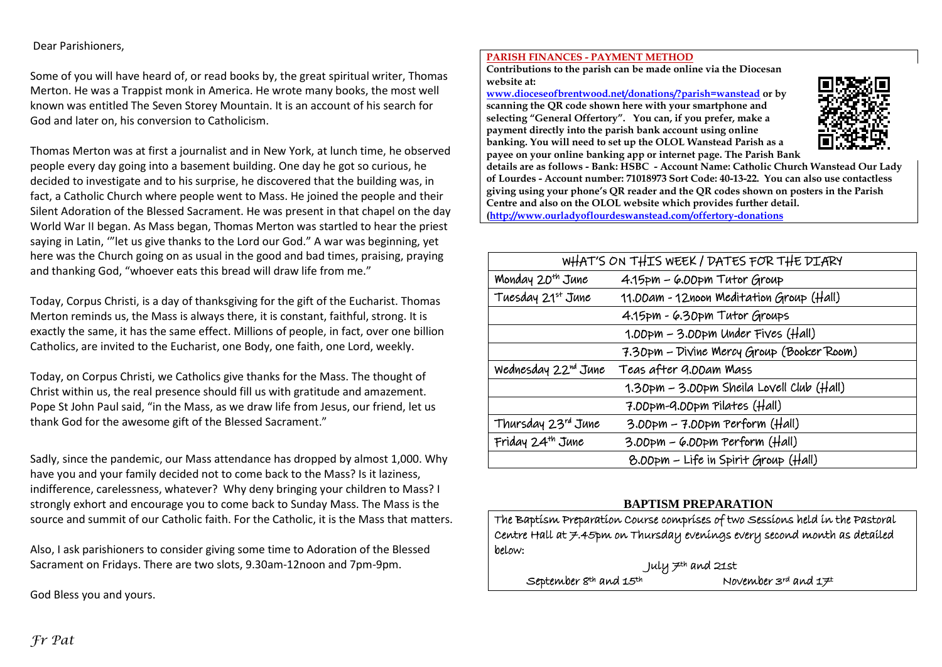#### Dear Parishioners,

Some of you will have heard of, or read books by, the great spiritual writer, Thomas Merton. He was a Trappist monk in America. He wrote many books, the most well known was entitled The Seven Storey Mountain. It is an account of his search for God and later on, his conversion to Catholicism.

Thomas Merton was at first a journalist and in New York, at lunch time, he observed people every day going into a basement building. One day he got so curious, he decided to investigate and to his surprise, he discovered that the building was, in fact, a Catholic Church where people went to Mass. He joined the people and their Silent Adoration of the Blessed Sacrament. He was present in that chapel on the day World War II began. As Mass began, Thomas Merton was startled to hear the priest saying in Latin, '"let us give thanks to the Lord our God." A war was beginning, yet here was the Church going on as usual in the good and bad times, praising, praying and thanking God, "whoever eats this bread will draw life from me."

Today, Corpus Christi, is a day of thanksgiving for the gift of the Eucharist. Thomas Merton reminds us, the Mass is always there, it is constant, faithful, strong. It is exactly the same, it has the same effect. Millions of people, in fact, over one billion Catholics, are invited to the Eucharist, one Body, one faith, one Lord, weekly.

Today, on Corpus Christi, we Catholics give thanks for the Mass. The thought of Christ within us, the real presence should fill us with gratitude and amazement. Pope St John Paul said, "in the Mass, as we draw life from Jesus, our friend, let us thank God for the awesome gift of the Blessed Sacrament."

Sadly, since the pandemic, our Mass attendance has dropped by almost 1,000. Why have you and your family decided not to come back to the Mass? Is it laziness, indifference, carelessness, whatever? Why deny bringing your children to Mass? I strongly exhort and encourage you to come back to Sunday Mass. The Mass is the source and summit of our Catholic faith. For the Catholic, it is the Mass that matters.

Also, I ask parishioners to consider giving some time to Adoration of the Blessed Sacrament on Fridays. There are two slots, 9.30am-12noon and 7pm-9pm.

God Bless you and yours.

#### **PARISH FINANCES - PAYMENT METHOD**

**Contributions to the parish can be made online via the Diocesan website at:** 

**[www.dioceseofbrentwood.net/donations/?parish=wanstead](http://www.dioceseofbrentwood.net/donations/?parish=wanstead) or by scanning the QR code shown here with your smartphone and selecting "General Offertory". You can, if you prefer, make a payment directly into the parish bank account using online banking. You will need to set up the OLOL Wanstead Parish as a payee on your online banking app or internet page. The Parish Bank** 



**details are as follows - Bank: HSBC - Account Name: Catholic Church Wanstead Our Lady of Lourdes - Account number: 71018973 Sort Code: 40-13-22. You can also use contactless giving using your phone's QR reader and the QR codes shown on posters in the Parish Centre and also on the OLOL website which provides further detail. [\(http://www.ourladyoflourdeswanstead.com/offertory-donations](http://www.ourladyoflourdeswanstead.com/offertory-donations)**

| WHAT'S ON THIS WEEK / DATES FOR THE DIARY |                                           |  |
|-------------------------------------------|-------------------------------------------|--|
| Monday 20 <sup>th</sup> June              | 4.15pm - 6.00pm Tutor Group               |  |
| Tuesday 21st June                         | 11.00am - 12noon Meditation Group (Hall)  |  |
|                                           | 4.15pm - 6.30pm Tutor Groups              |  |
|                                           | $1.00$ pm – 3.00pm Under Fives (Hall)     |  |
|                                           | 7.30pm - Divine Mercy Group (Booker Room) |  |
| Wednesday 22nd June                       | Teas after 9.00am Mass                    |  |
|                                           | 1.30pm – 3.00pm Sheila Lovell Club (Hall) |  |
|                                           | 7.00pm-9.00pm Pilates (Hall)              |  |
| Thursday 23rd June                        | $3.00$ pm – 7.00pm Perform (Hall)         |  |
| Friday 24 <sup>th</sup> June              | 3.00pm – 6.00pm Perform (Hall)            |  |
|                                           | 8.00pm - Life in Spirit Group (Hall)      |  |

#### **BAPTISM PREPARATION**

| September 8th and 15th                                                        | November $3^{rd}$ and $17^{t}$ |  |  |  |  |
|-------------------------------------------------------------------------------|--------------------------------|--|--|--|--|
| July 7th and 21st                                                             |                                |  |  |  |  |
| below:                                                                        |                                |  |  |  |  |
| Centre Hall at 7.45pm on Thursday evenings every second month as detailed     |                                |  |  |  |  |
| The Baptism Preparation Course comprises of two Sessions held in the Pastoral |                                |  |  |  |  |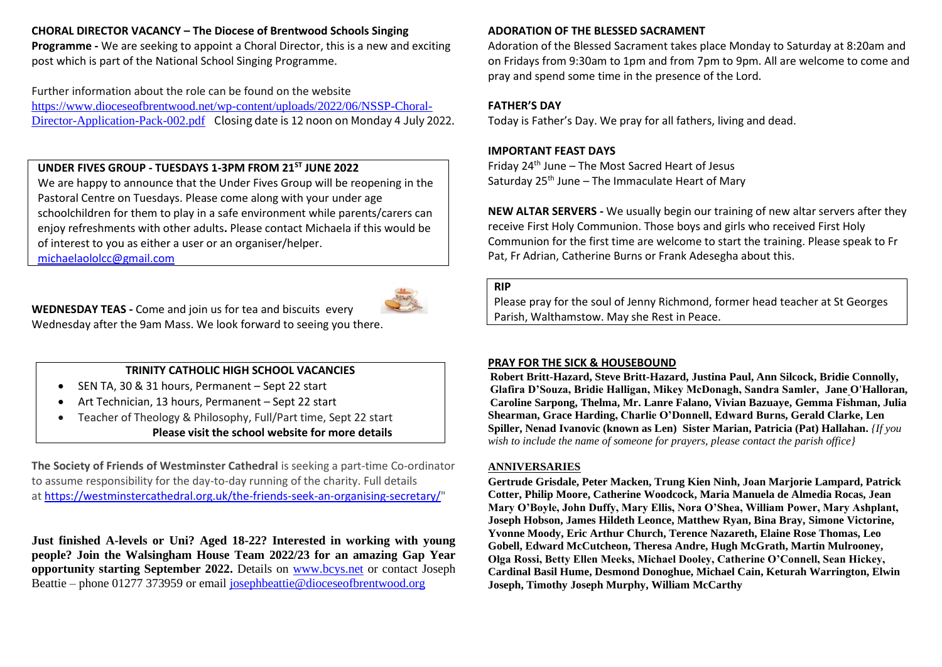#### **CHORAL DIRECTOR VACANCY – The Diocese of Brentwood Schools Singing**

**Programme -** We are seeking to appoint a Choral Director, this is a new and exciting post which is part of the National School Singing Programme.

Further information about the role can be found on the website [https://www.dioceseofbrentwood.net/wp-content/uploads/2022/06/NSSP-Choral-](https://www.dioceseofbrentwood.net/wp-content/uploads/2022/06/NSSP-Choral-Director-Application-Pack-002.pdf)[Director-Application-Pack-002.pdf](https://www.dioceseofbrentwood.net/wp-content/uploads/2022/06/NSSP-Choral-Director-Application-Pack-002.pdf) Closing date is 12 noon on Monday 4 July 2022.

#### **UNDER FIVES GROUP - TUESDAYS 1-3PM FROM 21ST JUNE 2022**

We are happy to announce that the Under Fives Group will be reopening in the Pastoral Centre on Tuesdays. Please come along with your under age schoolchildren for them to play in a safe environment while parents/carers can enjoy refreshments with other adults**.** Please contact Michaela if this would be of interest to you as either a user or an organiser/helper.

[michaelaololcc@gmail.com](mailto:michaelaololcc@gmail.com) 



**WEDNESDAY TEAS -** Come and join us for tea and biscuits every Wednesday after the 9am Mass. We look forward to seeing you there.

#### **TRINITY CATHOLIC HIGH SCHOOL VACANCIES**

- SEN TA, 30 & 31 hours, Permanent Sept 22 start
- Art Technician, 13 hours, Permanent Sept 22 start
- Teacher of Theology & Philosophy, Full/Part time, Sept 22 start **Please visit the school website for more details**

**The Society of Friends of Westminster Cathedral** is seeking a part-time Co-ordinator to assume responsibility for the day-to-day running of the charity. Full details at [https://westminstercathedral.org.uk/the-friends-seek-an-organising-secretary/"](https://westminstercathedral.org.uk/the-friends-seek-an-organising-secretary/)

**Just finished A-levels or Uni? Aged 18-22? Interested in working with young people? Join the Walsingham House Team 2022/23 for an amazing Gap Year opportunity starting September 2022.** Details on [www.bcys.net](http://www.bcys.net/) or contact Joseph Beattie – phone 01277 373959 or email [josephbeattie@dioceseofbrentwood.org](mailto:josephbeattie@dioceseofbrentwood.org)

#### **ADORATION OF THE BLESSED SACRAMENT**

Adoration of the Blessed Sacrament takes place Monday to Saturday at 8:20am and on Fridays from 9:30am to 1pm and from 7pm to 9pm. All are welcome to come and pray and spend some time in the presence of the Lord.

#### **FATHER'S DAY**

Today is Father's Day. We pray for all fathers, living and dead.

#### **IMPORTANT FEAST DAYS**

Friday  $24<sup>th</sup>$  June – The Most Sacred Heart of Jesus Saturday  $25<sup>th</sup>$  June – The Immaculate Heart of Mary

**NEW ALTAR SERVERS -** We usually begin our training of new altar servers after they receive First Holy Communion. Those boys and girls who received First Holy Communion for the first time are welcome to start the training. Please speak to Fr Pat, Fr Adrian, Catherine Burns or Frank Adesegha about this.

#### **RIP**

Please pray for the soul of Jenny Richmond, former head teacher at St Georges Parish, Walthamstow. May she Rest in Peace.

#### **PRAY FOR THE SICK & HOUSEBOUND**

**Robert Britt-Hazard, Steve Britt-Hazard, Justina Paul, Ann Silcock, Bridie Connolly, Glafira D'Souza, Bridie Halligan, Mikey McDonagh, Sandra Samler, Jane O'Halloran, Caroline Sarpong, Thelma, Mr. Lanre Falano, Vivian Bazuaye, Gemma Fishman, Julia Shearman, Grace Harding, Charlie O'Donnell, Edward Burns, Gerald Clarke, Len Spiller, Nenad Ivanovic (known as Len) Sister Marian, Patricia (Pat) Hallahan.** *{If you wish to include the name of someone for prayers, please contact the parish office}*

#### **ANNIVERSARIES**

**Gertrude Grisdale, Peter Macken, Trung Kien Ninh, Joan Marjorie Lampard, Patrick Cotter, Philip Moore, Catherine Woodcock, Maria Manuela de Almedia Rocas, Jean Mary O'Boyle, John Duffy, Mary Ellis, Nora O'Shea, William Power, Mary Ashplant, Joseph Hobson, James Hildeth Leonce, Matthew Ryan, Bina Bray, Simone Victorine, Yvonne Moody, Eric Arthur Church, Terence Nazareth, Elaine Rose Thomas, Leo Gobell, Edward McCutcheon, Theresa Andre, Hugh McGrath, Martin Mulrooney, Olga Rossi, Betty Ellen Meeks, Michael Dooley, Catherine O'Connell, Sean Hickey, Cardinal Basil Hume, Desmond Donoghue, Michael Cain, Keturah Warrington, Elwin Joseph, Timothy Joseph Murphy, William McCarthy**